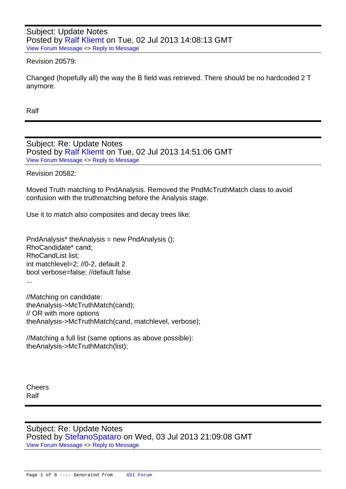Subject: Update Notes Posted by Ralf Kliemt on Tue, 02 Jul 2013 14:08:13 GMT View Forum Message <> Reply to Message

## Revision 20579:

[Changed \(hopefull](https://forum.gsi.de/index.php?t=rview&th=3915&goto=14913#msg_14913)y [all\) the way the B](https://forum.gsi.de/index.php?t=post&reply_to=14913) field was retrieved. There should be no hardcoded 2 T anymore.

Ralf

Subject: Re: Update Notes Posted by Ralf Kliemt on Tue, 02 Jul 2013 14:51:06 GMT View Forum Message <> Reply to Message

Revision 20[582:](https://forum.gsi.de/index.php?t=usrinfo&id=986)

[Moved Truth matc](https://forum.gsi.de/index.php?t=rview&th=3915&goto=14915#msg_14915)hin[g to PndAnalysi](https://forum.gsi.de/index.php?t=post&reply_to=14915)s. Removed the PndMcTruthMatch class to avoid confusion with the truthmatching before the Analysis stage.

Use it to match also composites and decay trees like:

PndAnalysis\* theAnalysis = new PndAnalysis  $()$ ; RhoCandidate\* cand; RhoCandList list; int matchlevel=2; //0-2, default 2 bool verbose=false; //default false ...

//Matching on candidate: theAnalysis->McTruthMatch(cand); // OR with more options theAnalysis->McTruthMatch(cand, matchlevel, verbose);

//Matching a full list (same options as above possible): theAnalysis->McTruthMatch(list);

**Cheers** Ralf

Subject: Re: Update Notes Posted by StefanoSpataro on Wed, 03 Jul 2013 21:09:08 GMT View Forum Message <> Reply to Message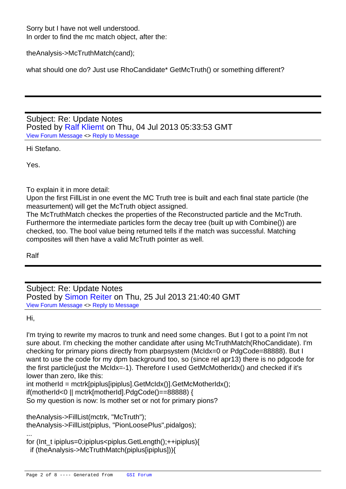Sorry but I have not well understood. In order to find the mc match object, after the:

theAnalysis->McTruthMatch(cand);

what should one do? Just use RhoCandidate\* GetMcTruth() or something different?

Subject: Re: Update Notes Posted by Ralf Kliemt on Thu, 04 Jul 2013 05:33:53 GMT View Forum Message <> Reply to Message

Hi Stefano.

[Yes.](https://forum.gsi.de/index.php?t=rview&th=3915&goto=14924#msg_14924)

To explain it in more detail:

Upon the first FillList in one event the MC Truth tree is built and each final state particle (the measurtement) will get the McTruth object assigned.

The McTruthMatch checkes the properties of the Reconstructed particle and the McTruth. Furthermore the intermediate particles form the decay tree (built up with Combine()) are checked, too. The bool value being returned tells if the match was successful. Matching composites will then have a valid McTruth pointer as well.

Ralf

Subject: Re: Update Notes Posted by Simon Reiter on Thu, 25 Jul 2013 21:40:40 GMT View Forum Message <> Reply to Message

Hi,

...

[I'm trying to rewrite](https://forum.gsi.de/index.php?t=rview&th=3915&goto=15021#msg_15021) [my macros to tru](https://forum.gsi.de/index.php?t=post&reply_to=15021)nk and need some changes. But I got to a point I'm not sure about. I'm checking the mother candidate after using McTruthMatch(RhoCandidate). I'm checking for primary pions directly from pbarpsystem (McIdx=0 or PdgCode=88888). But I want to use the code for my dpm background too, so (since rel apr13) there is no pdgcode for the first particle(just the McIdx=-1). Therefore I used GetMcMotherIdx() and checked if it's lower than zero, like this:

int motherId = mctrk[piplus[ipiplus].GetMcIdx()].GetMcMotherIdx();

if(motherId<0 || mctrk[motherId].PdgCode()==88888) {

So my question is now: Is mother set or not for primary pions?

theAnalysis->FillList(mctrk, "McTruth"); theAnalysis->FillList(piplus, "PionLoosePlus",pidalgos);

```
for (Int_t ipiplus=0;ipiplus<piplus.GetLength();++ipiplus){
  if (theAnalysis->McTruthMatch(piplus[ipiplus])){
```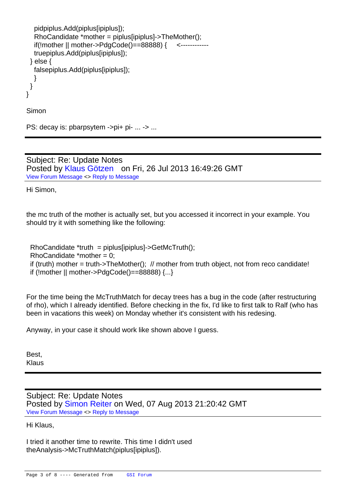```
 pidpiplus.Add(piplus[ipiplus]);
   RhoCandidate *mother = piplus[ipiplus]->TheMother();
   if(!mother || mother->PdgCode()==88888) { <------------
   truepiplus.Add(piplus[ipiplus]);
  } else {
   falsepiplus.Add(piplus[ipiplus]);
   }
  }
}
```
Simon

PS: decay is: pbarpsytem ->pi+ pi- ... -> ...

Subject: Re: Update Notes Posted by Klaus Götzen on Fri, 26 Jul 2013 16:49:26 GMT View Forum Message <> Reply to Message

Hi Simon,

the mc truth of the mother is actually set, but you accessed it incorrect in your example. You should try it with something like the following:

 $RhoC and data$ <sup>\*</sup>truth = piplus[ipiplus]->GetMcTruth(); RhoCandidate  $*$ mother = 0; if (truth) mother = truth->TheMother();  $\#$  mother from truth object, not from reco candidate! if (!mother  $||$  mother->PdgCode()==88888)  $\{...\}$ 

For the time being the McTruthMatch for decay trees has a bug in the code (after restructuring of rho), which I already identified. Before checking in the fix, I'd like to first talk to Ralf (who has been in vacations this week) on Monday whether it's consistent with his redesing.

Anyway, in your case it should work like shown above I guess.

Best, Klaus

Subject: Re: Update Notes Posted by Simon Reiter on Wed, 07 Aug 2013 21:20:42 GMT View Forum Message <> Reply to Message

Hi Klaus,

[I tried it another tim](https://forum.gsi.de/index.php?t=rview&th=3915&goto=15131#msg_15131)e [to rewrite. This](https://forum.gsi.de/index.php?t=post&reply_to=15131) time I didn't used theAnalysis->McTruthMatch(piplus[ipiplus]).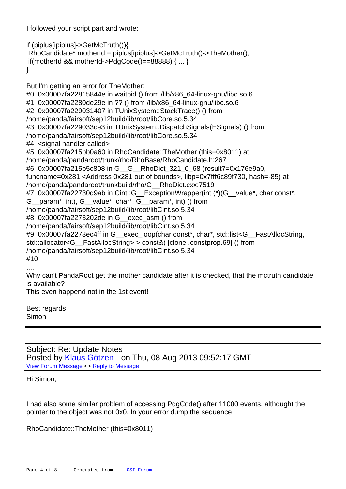I followed your script part and wrote:

```
if (piplus[ipiplus]->GetMcTruth()){
 RhoCandidate* motherId = piplus[ipiplus]->GetMcTruth()->TheMother();
if(motherId && motherId->PdgCode()==88888) { ... }
}
```
But I'm getting an error for TheMother:

#0 0x00007fa22815844e in waitpid () from /lib/x86\_64-linux-gnu/libc.so.6 #1 0x00007fa2280de29e in ?? () from /lib/x86\_64-linux-gnu/libc.so.6 #2 0x00007fa229031407 in TUnixSystem::StackTrace() () from /home/panda/fairsoft/sep12build/lib/root/libCore.so.5.34 #3 0x00007fa229033ce3 in TUnixSystem::DispatchSignals(ESignals) () from /home/panda/fairsoft/sep12build/lib/root/libCore.so.5.34 #4 <signal handler called> #5 0x00007fa215bb0a60 in RhoCandidate::TheMother (this=0x8011) at /home/panda/pandaroot/trunk/rho/RhoBase/RhoCandidate.h:267 #6 0x00007fa215b5c808 in G\_\_G\_\_RhoDict\_321\_0\_68 (result7=0x176e9a0, funcname=0x281 <Address 0x281 out of bounds>, libp=0x7fff6c89f730, hash=-85) at /home/panda/pandaroot/trunkbuild/rho/G\_\_RhoDict.cxx:7519 #7 0x00007fa22730d9ab in Cint::G\_ExceptionWrapper(int (\*)(G\_value\*, char const\*, G\_\_param\*, int), G\_\_value\*, char\*, G\_\_param\*, int) () from /home/panda/fairsoft/sep12build/lib/root/libCint.so.5.34 #8 0x00007fa2273202de in G\_\_exec\_asm () from /home/panda/fairsoft/sep12build/lib/root/libCint.so.5.34 #9 0x00007fa2273ec4ff in G exec loop(char const\*, char\*, std::list<G FastAllocString, std::allocator<G\_\_FastAllocString> > const&) [clone .constprop.69] () from /home/panda/fairsoft/sep12build/lib/root/libCint.so.5.34 #10 .... Why can't PandaRoot get the mother candidate after it is checked, that the mctruth candidate is available? This even happend not in the 1st event!

Best regards Simon

Subject: Re: Update Notes Posted by Klaus Götzen on Thu, 08 Aug 2013 09:52:17 GMT View Forum Message <> Reply to Message

Hi Simon,

I had also some similar problem of accessing PdgCode() after 11000 events, althought the pointer to the object was not 0x0. In your error dump the sequence

RhoCandidate::TheMother (this=0x8011)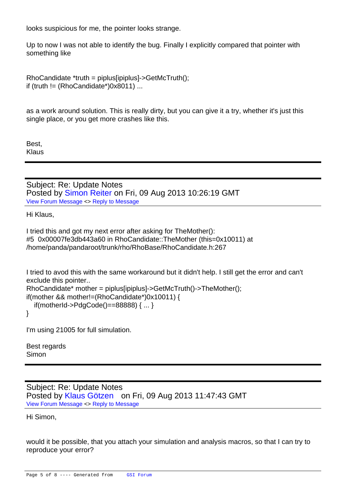looks suspicious for me, the pointer looks strange.

Up to now I was not able to identify the bug. Finally I explicitly compared that pointer with something like

```
RhoC and data *truth = piplus[ipiplus]->GetMcTruth();
if (truth != (RhoCandidate*)0x8011) ...
```
as a work around solution. This is really dirty, but you can give it a try, whether it's just this single place, or you get more crashes like this.

Best, Klaus

Subject: Re: Update Notes Posted by Simon Reiter on Fri, 09 Aug 2013 10:26:19 GMT View Forum Message <> Reply to Message

Hi Klaus,

[I tried this and got](https://forum.gsi.de/index.php?t=rview&th=3915&goto=15161#msg_15161) m[y next error after](https://forum.gsi.de/index.php?t=post&reply_to=15161) asking for TheMother(): #5 0x00007fe3db443a60 in RhoCandidate::TheMother (this=0x10011) at /home/panda/pandaroot/trunk/rho/RhoBase/RhoCandidate.h:267

I tried to avod this with the same workaround but it didn't help. I still get the error and can't exclude this pointer..

```
RhoCandidate* mother = piplus[ipiplus]->GetMcTruth()->TheMother();
if(mother && mother!=(RhoCandidate*)0x10011) {
```

```
 if(motherId->PdgCode()==88888) { ... }
```
}

I'm using 21005 for full simulation.

Best regards Simon

Subject: Re: Update Notes Posted by Klaus Götzen on Fri, 09 Aug 2013 11:47:43 GMT View Forum Message <> Reply to Message

Hi Simon,

would it be possible, that you attach your simulation and analysis macros, so that I can try to reproduce your error?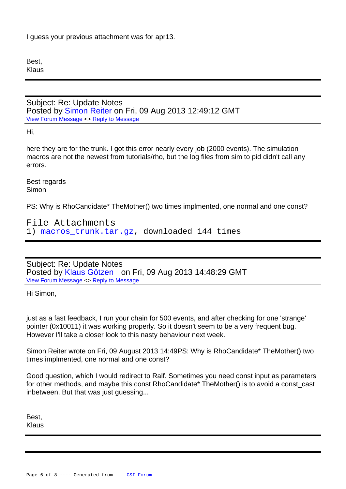Best, Klaus

Subject: Re: Update Notes Posted by Simon Reiter on Fri, 09 Aug 2013 12:49:12 GMT View Forum Message <> Reply to Message

Hi,

[here they are for th](https://forum.gsi.de/index.php?t=rview&th=3915&goto=15165#msg_15165)e [trunk. I got this e](https://forum.gsi.de/index.php?t=post&reply_to=15165)rror nearly every job (2000 events). The simulation macros are not the newest from tutorials/rho, but the log files from sim to pid didn't call any errors.

Best regards Simon

PS: Why is RhoCandidate\* TheMother() two times implmented, one normal and one const?

File Attachments 1) macros trunk.tar.gz, downloaded 144 times

Sub[ject: Re: Update Notes](https://forum.gsi.de/index.php?t=getfile&id=7497) Posted by Klaus Götzen on Fri, 09 Aug 2013 14:48:29 GMT View Forum Message <> Reply to Message

Hi Simon,

just as a fast feedback, I run your chain for 500 events, and after checking for one 'strange' pointer (0x10011) it was working properly. So it doesn't seem to be a very frequent bug. However I'll take a closer look to this nasty behaviour next week.

Simon Reiter wrote on Fri, 09 August 2013 14:49PS: Why is RhoCandidate\* TheMother() two times implmented, one normal and one const?

Good question, which I would redirect to Ralf. Sometimes you need const input as parameters for other methods, and maybe this const RhoCandidate\* TheMother() is to avoid a const\_cast inbetween. But that was just guessing...

Best, Klaus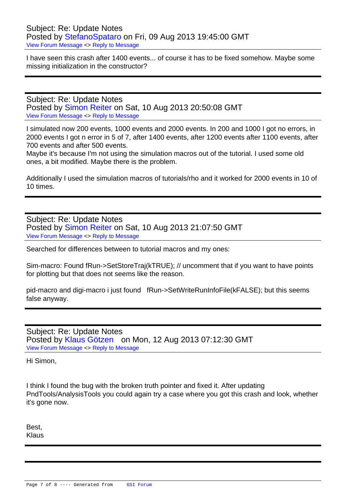Subject: Re: Update Notes Posted by StefanoSpataro on Fri, 09 Aug 2013 19:45:00 GMT View Forum Message <> Reply to Message

I have seen this crash after 1400 events... of course it has to be fixed somehow. Maybe some missing initi[alization in the cons](https://forum.gsi.de/index.php?t=usrinfo&id=306)tructor?

Subject: Re: Update Notes Posted by Simon Reiter on Sat, 10 Aug 2013 20:50:08 GMT View Forum Message <> Reply to Message

I simulated now 200 events, 1000 events and 2000 events. In 200 and 1000 I got no errors, in 2000 events [I got n error in](https://forum.gsi.de/index.php?t=usrinfo&id=2067) 5 of 7, after 1400 events, after 1200 events after 1100 events, after [700 events and aft](https://forum.gsi.de/index.php?t=rview&th=3915&goto=15176#msg_15176)er [500 events.](https://forum.gsi.de/index.php?t=post&reply_to=15176)

Maybe it's because I'm not using the simulation macros out of the tutorial. I used some old ones, a bit modified. Maybe there is the problem.

Additionally I used the simulation macros of tutorials/rho and it worked for 2000 events in 10 of 10 times.

Subject: Re: Update Notes Posted by Simon Reiter on Sat, 10 Aug 2013 21:07:50 GMT View Forum Message <> Reply to Message

Searched for differences between to tutorial macros and my ones:

[Sim-macro: Found](https://forum.gsi.de/index.php?t=rview&th=3915&goto=15177#msg_15177) f[Run->SetStoreTr](https://forum.gsi.de/index.php?t=post&reply_to=15177)aj(kTRUE); // uncomment that if you want to have points for plotting but that does not seems like the reason.

pid-macro and digi-macro i just found fRun->SetWriteRunInfoFile(kFALSE); but this seems false anyway.

Subject: Re: Update Notes Posted by Klaus Götzen on Mon, 12 Aug 2013 07:12:30 GMT View Forum Message <> Reply to Message

Hi Simon,

I think I found the bug with the broken truth pointer and fixed it. After updating PndTools/AnalysisTools you could again try a case where you got this crash and look, whether it's gone now.

Best, Klaus